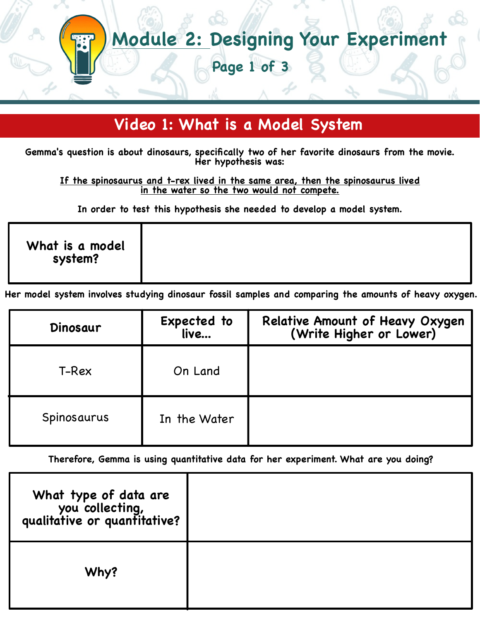# **Module 2: Designing Your Experiment**

**Page 1 of 3**

### **Video 1: What is a Model System**

**Gemma's question is about dinosaurs, specifically two of her favorite dinosaurs from the movie. Her hypothesis was:**

**If the spinosaurus and t-rex lived in the same area, then the spinosaurus lived in the water so the two would not compete.**

**In order to test this hypothesis she needed to develop a model system.**

|--|

**Her model system involves studying dinosaur fossil samples and comparing the amounts of heavy oxygen.**

| Dinosaur    | Expected to<br>live | Relative Amount of Heavy Oxygen<br>(Write Higher or Lower) |
|-------------|---------------------|------------------------------------------------------------|
| T-Rex       | On Land             |                                                            |
| Spinosaurus | In the Water        |                                                            |

**Therefore, Gemma is using quantitative data for her experiment. What are you doing?**

| What type of data are<br>you collecting,<br>qualitative or quantitative? |  |
|--------------------------------------------------------------------------|--|
| Why?                                                                     |  |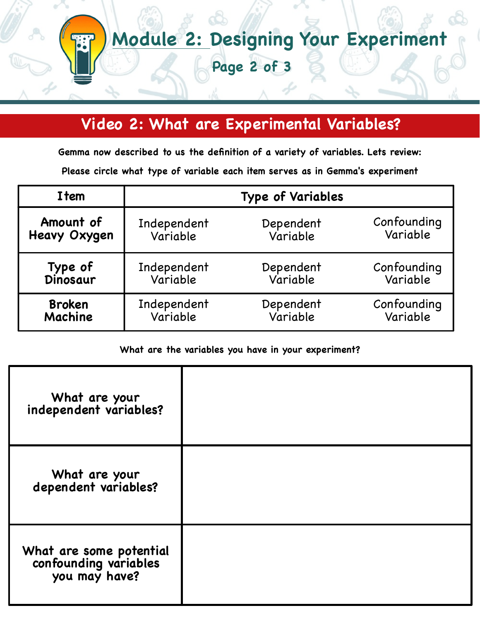# **Module 2: Designing Your Experiment**

**Page 2 of 3**

## **Video 2: What are Experimental Variables?**

**Gemma now described to us the definition of a variety of variables. Lets review:**

**Please circle what type of variable each item serves as in Gemma's experiment**

| Item                | <b>Type of Variables</b> |           |             |
|---------------------|--------------------------|-----------|-------------|
| Amount of           | Independent              | Dependent | Confounding |
| <b>Heavy Oxygen</b> | Variable                 | Variable  | Variable    |
| Type of<br>Dinosaur | Independent              | Dependent | Confounding |
|                     | Variable                 | Variable  | Variable    |
| <b>Broken</b>       | Independent              | Dependent | Confounding |
| Machine             | Variable                 | Variable  | Variable    |

#### **What are the variables you have in your experiment?**

| What are your<br>independent variables?                           |  |
|-------------------------------------------------------------------|--|
| What are your<br>dependent variables?                             |  |
| What are some potential<br>confounding variables<br>you may have? |  |